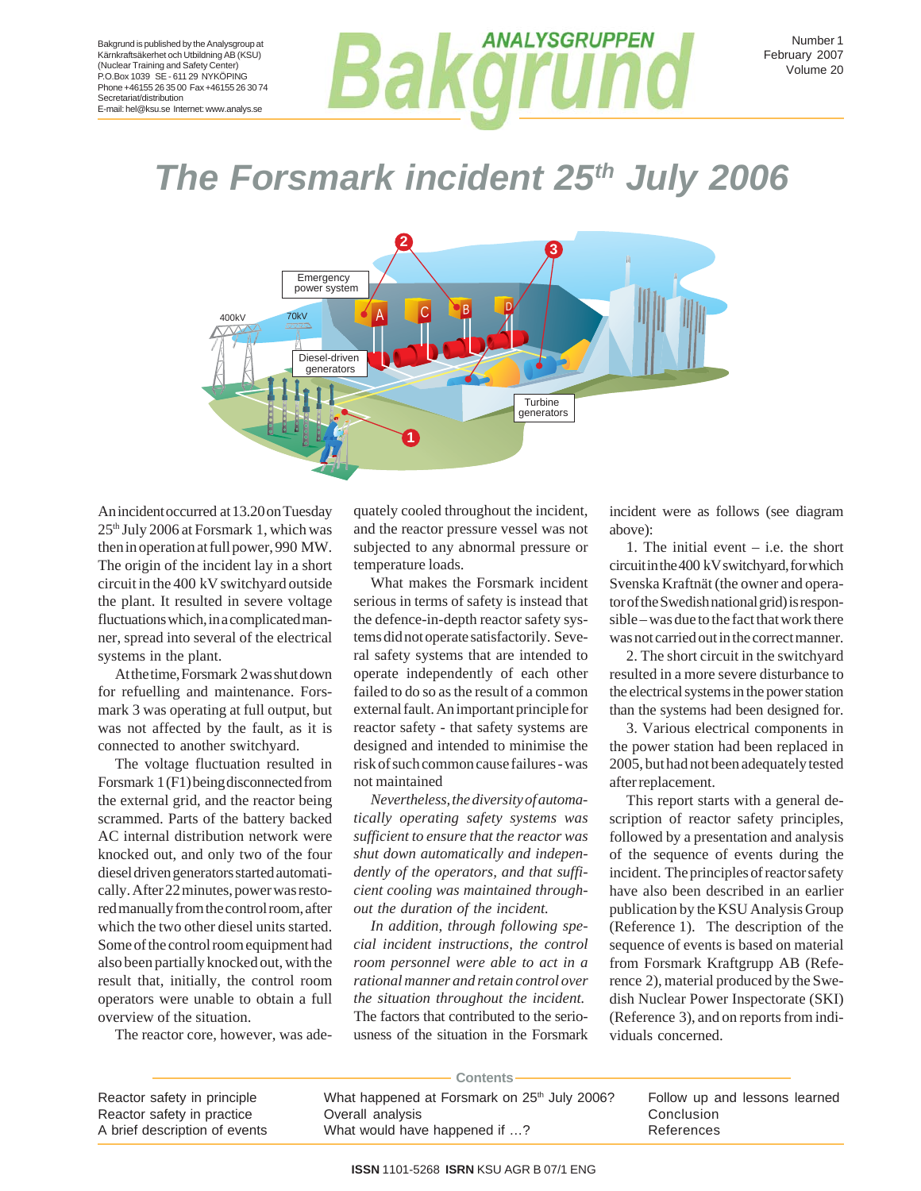# **ANALYSGRUPPEN Bakarusan**

Number 1 February 2007 Volume 20

**The Forsmark incident 25th July 2006** 



An incident occurred at 13.20 on Tuesday 25th July 2006 at Forsmark 1, which was then in operation at full power, 990 MW. The origin of the incident lay in a short circuit in the 400 kV switchyard outside the plant. It resulted in severe voltage fluctuations which, in a complicated manner, spread into several of the electrical systems in the plant.

At the time, Forsmark 2 was shut down for refuelling and maintenance. Forsmark 3 was operating at full output, but was not affected by the fault, as it is connected to another switchyard.

The voltage fluctuation resulted in Forsmark 1 (F1) being disconnected from the external grid, and the reactor being scrammed. Parts of the battery backed AC internal distribution network were knocked out, and only two of the four diesel driven generators started automatically. After 22 minutes, power was restored manually from the control room, after which the two other diesel units started. Some of the control room equipment had also been partially knocked out, with the result that, initially, the control room operators were unable to obtain a full overview of the situation.

The reactor core, however, was ade-

quately cooled throughout the incident, and the reactor pressure vessel was not subjected to any abnormal pressure or temperature loads.

What makes the Forsmark incident serious in terms of safety is instead that the defence-in-depth reactor safety systems did not operate satisfactorily. Several safety systems that are intended to operate independently of each other failed to do so as the result of a common external fault. An important principle for reactor safety - that safety systems are designed and intended to minimise the risk of such common cause failures - was not maintained

*Nevertheless, the diversity of automatically operating safety systems was sufficient to ensure that the reactor was shut down automatically and independently of the operators, and that sufficient cooling was maintained throughout the duration of the incident.*

*In addition, through following special incident instructions, the control room personnel were able to act in a rational manner and retain control over the situation throughout the incident.* The factors that contributed to the seriousness of the situation in the Forsmark

incident were as follows (see diagram above):

1. The initial event – i.e. the short circuit in the 400 kV switchyard, for which Svenska Kraftnät (the owner and operator of the Swedish national grid) is responsible – was due to the fact that work there was not carried out in the correct manner.

2. The short circuit in the switchyard resulted in a more severe disturbance to the electrical systems in the power station than the systems had been designed for.

3. Various electrical components in the power station had been replaced in 2005, but had not been adequately tested after replacement.

This report starts with a general description of reactor safety principles, followed by a presentation and analysis of the sequence of events during the incident. The principles of reactor safety have also been described in an earlier publication by the KSU Analysis Group (Reference 1). The description of the sequence of events is based on material from Forsmark Kraftgrupp AB (Reference 2), material produced by the Swedish Nuclear Power Inspectorate (SKI) (Reference 3), and on reports from individuals concerned.

| <b>Contents</b>               |                                                          |                               |
|-------------------------------|----------------------------------------------------------|-------------------------------|
| Reactor safety in principle   | What happened at Forsmark on 25 <sup>th</sup> July 2006? | Follow up and lessons learned |
| Reactor safety in practice    | Overall analysis                                         | Conclusion                    |
| A brief description of events | What would have happened if ?                            | References                    |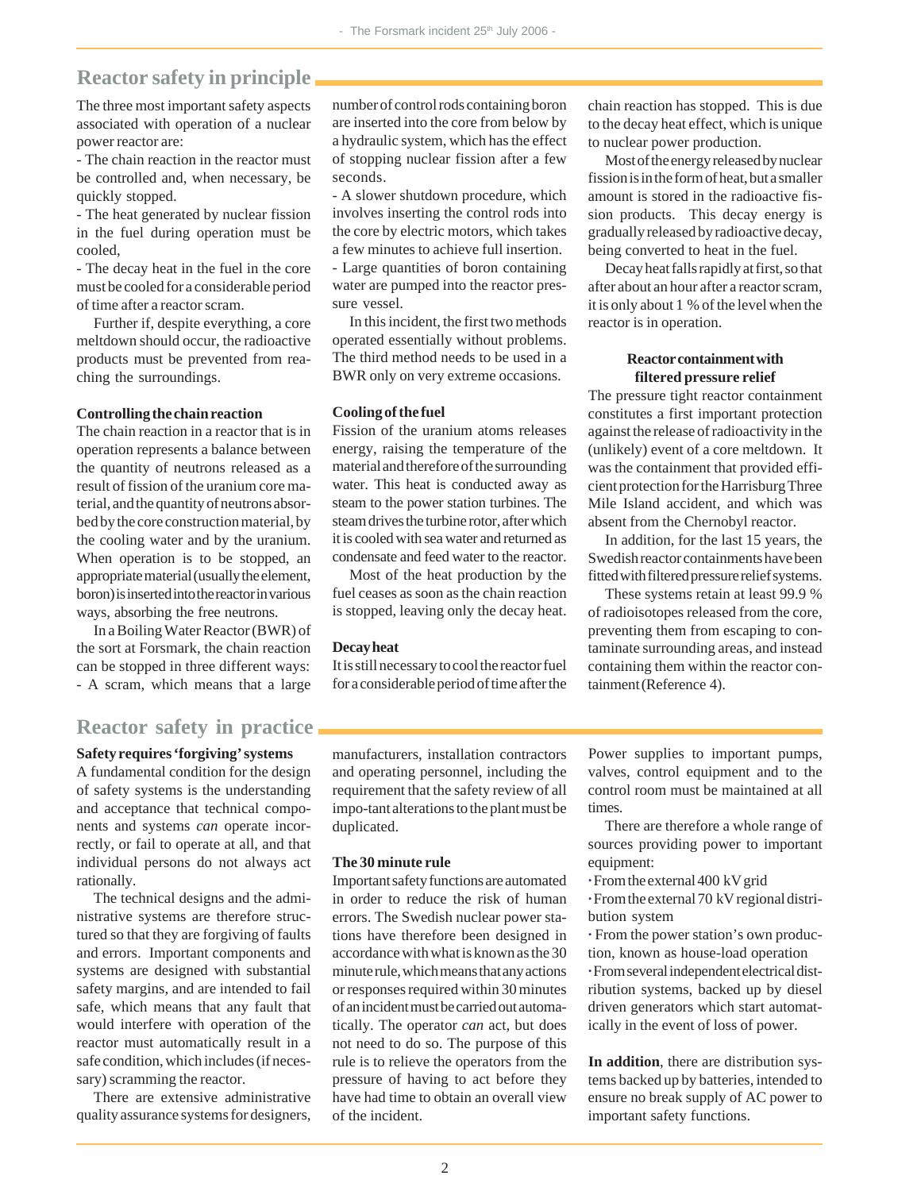# **Reactor safety in principle**

The three most important safety aspects associated with operation of a nuclear power reactor are:

- The chain reaction in the reactor must be controlled and, when necessary, be quickly stopped.

- The heat generated by nuclear fission in the fuel during operation must be cooled,

- The decay heat in the fuel in the core must be cooled for a considerable period of time after a reactor scram.

Further if, despite everything, a core meltdown should occur, the radioactive products must be prevented from reaching the surroundings.

#### **Controlling the chain reaction**

The chain reaction in a reactor that is in operation represents a balance between the quantity of neutrons released as a result of fission of the uranium core material, and the quantity of neutrons absorbed by the core construction material, by the cooling water and by the uranium. When operation is to be stopped, an appropriate material (usually the element, boron) is inserted into the reactor in various ways, absorbing the free neutrons.

In a Boiling Water Reactor (BWR) of the sort at Forsmark, the chain reaction can be stopped in three different ways: - A scram, which means that a large

### **Reactor safety in practice**

**Safety requires 'forgiving' systems** A fundamental condition for the design of safety systems is the understanding and acceptance that technical components and systems *can* operate incorrectly, or fail to operate at all, and that individual persons do not always act rationally.

The technical designs and the administrative systems are therefore structured so that they are forgiving of faults and errors. Important components and systems are designed with substantial safety margins, and are intended to fail safe, which means that any fault that would interfere with operation of the reactor must automatically result in a safe condition, which includes (if necessary) scramming the reactor.

There are extensive administrative quality assurance systems for designers, number of control rods containing boron are inserted into the core from below by a hydraulic system, which has the effect of stopping nuclear fission after a few seconds.

- A slower shutdown procedure, which involves inserting the control rods into the core by electric motors, which takes a few minutes to achieve full insertion. - Large quantities of boron containing water are pumped into the reactor pressure vessel.

In this incident, the first two methods operated essentially without problems. The third method needs to be used in a BWR only on very extreme occasions.

### **Cooling of the fuel**

Fission of the uranium atoms releases energy, raising the temperature of the material and therefore of the surrounding water. This heat is conducted away as steam to the power station turbines. The steam drives the turbine rotor, after which it is cooled with sea water and returned as condensate and feed water to the reactor.

Most of the heat production by the fuel ceases as soon as the chain reaction is stopped, leaving only the decay heat.

### **Decay heat**

It is still necessary to cool the reactor fuel for a considerable period of time after the chain reaction has stopped. This is due to the decay heat effect, which is unique to nuclear power production.

Most of the energy released by nuclear fission is in the form of heat, but a smaller amount is stored in the radioactive fission products. This decay energy is gradually released by radioactive decay, being converted to heat in the fuel.

Decay heat falls rapidly at first, so that after about an hour after a reactor scram, it is only about 1 % of the level when the reactor is in operation.

### **Reactor containment with filtered pressure relief**

The pressure tight reactor containment constitutes a first important protection against the release of radioactivity in the (unlikely) event of a core meltdown. It was the containment that provided efficient protection for the Harrisburg Three Mile Island accident, and which was absent from the Chernobyl reactor.

In addition, for the last 15 years, the Swedish reactor containments have been fitted with filtered pressure relief systems.

These systems retain at least 99.9 % of radioisotopes released from the core, preventing them from escaping to contaminate surrounding areas, and instead containing them within the reactor containment (Reference 4).

manufacturers, installation contractors and operating personnel, including the requirement that the safety review of all impo-tant alterations to the plant must be duplicated.

### **The 30 minute rule**

Important safety functions are automated in order to reduce the risk of human errors. The Swedish nuclear power stations have therefore been designed in accordance with what is known as the 30 minute rule, which means that any actions or responses required within 30 minutes of an incident must be carried out automatically. The operator *can* act, but does not need to do so. The purpose of this rule is to relieve the operators from the pressure of having to act before they have had time to obtain an overall view of the incident.

Power supplies to important pumps, valves, control equipment and to the control room must be maintained at all times.

There are therefore a whole range of sources providing power to important equipment:

**·** From the external 400 kV grid

**·** From the external 70 kV regional distribution system

**·** From the power station's own production, known as house-load operation **·** From several independent electrical distribution systems, backed up by diesel driven generators which start automatically in the event of loss of power.

**In addition**, there are distribution systems backed up by batteries, intended to ensure no break supply of AC power to important safety functions.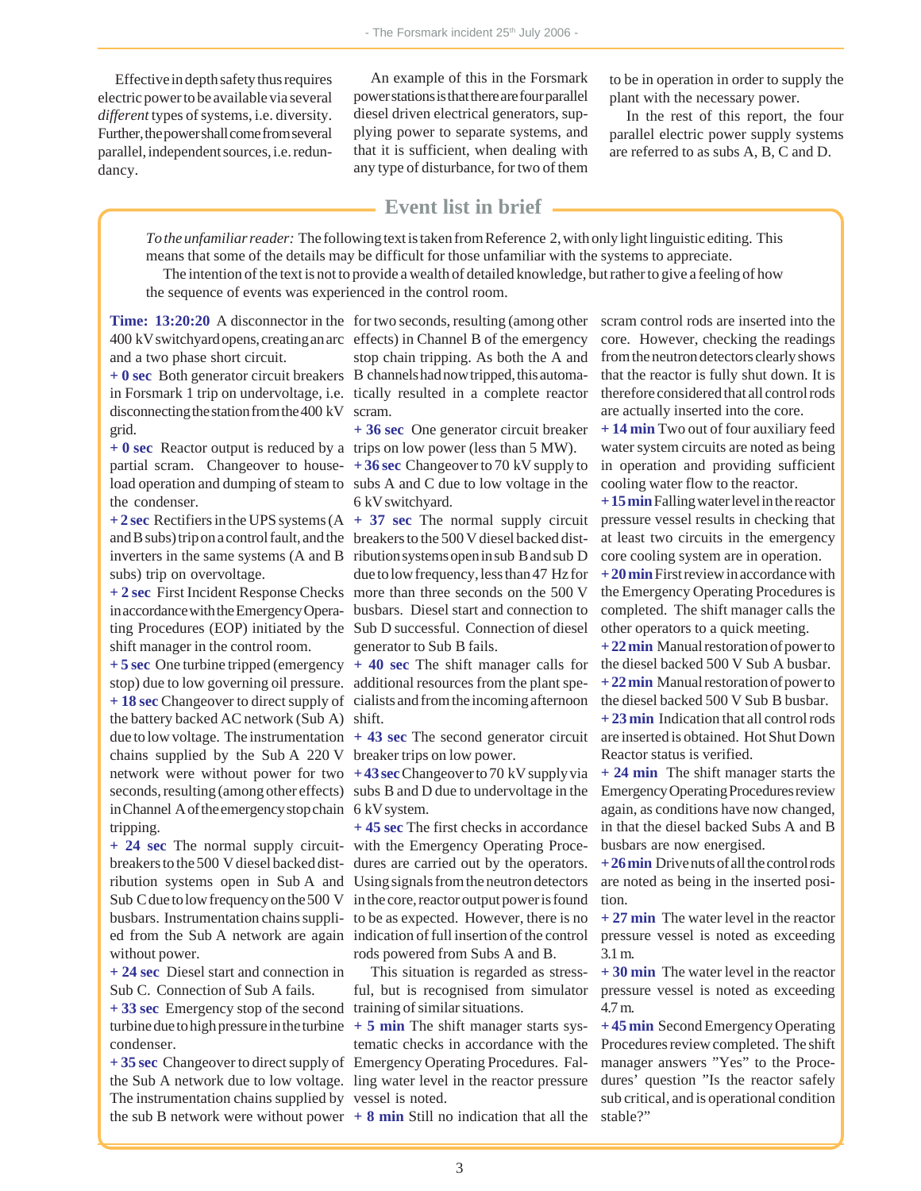Effective in depth safety thus requires electric power to be available via several *different* types of systems, i.e. diversity. Further, the power shall come from several parallel, independent sources, i.e. redundancy.

An example of this in the Forsmark power stations is that there are four parallel diesel driven electrical generators, supplying power to separate systems, and that it is sufficient, when dealing with any type of disturbance, for two of them

to be in operation in order to supply the plant with the necessary power.

In the rest of this report, the four parallel electric power supply systems are referred to as subs A, B, C and D.

### **Event list in brief**

*To the unfamiliar reader:* The following text is taken from Reference 2, with only light linguistic editing. This means that some of the details may be difficult for those unfamiliar with the systems to appreciate.

The intention of the text is not to provide a wealth of detailed knowledge, but rather to give a feeling of how the sequence of events was experienced in the control room.

**Time: 13:20:20** A disconnector in the for two seconds, resulting (among other 400 kV switchyard opens, creating an arc effects) in Channel B of the emergency and a two phase short circuit.

in Forsmark 1 trip on undervoltage, i.e. tically resulted in a complete reactor disconnecting the station from the 400 kV scram. grid.

**+ 0 sec** Reactor output is reduced by a trips on low power (less than 5 MW). the condenser.

subs) trip on overvoltage.

shift manager in the control room.

**+ 5 sec** One turbine tripped (emergency **+ 40 sec** The shift manager calls for the battery backed AC network (Sub A) shift. due to low voltage. The instrumentation  $+43$  sec The second generator circuit chains supplied by the Sub A 220 V breaker trips on low power. network were without power for two **+ 43 sec** Changeover to 70 kV supply via seconds, resulting (among other effects) subs B and D due to undervoltage in the in Channel A of the emergency stop chain 6 kV system. tripping.

without power.

**+ 24 sec** Diesel start and connection in Sub C. Connection of Sub A fails. **+ 33 sec** Emergency stop of the second training of similar situations. turbine due to high pressure in the turbine  $+5$  min The shift manager starts syscondenser.

The instrumentation chains supplied by vessel is noted. the sub B network were without power  $+ 8$  min Still no indication that all the stable?"

**+ 0 sec** Both generator circuit breakers B channels had now tripped, this automastop chain tripping. As both the A and

**+ 36 sec** One generator circuit breaker

partial scram. Changeover to house-**+ 36 sec** Changeover to 70 kV supply to load operation and dumping of steam to subs A and C due to low voltage in the 6 kV switchyard.

**+ 2 sec** Rectifiers in the UPS systems (A **+ 37 sec** The normal supply circuit and B subs) trip on a control fault, and the breakers to the 500 V diesel backed distinverters in the same systems (A and B ribution systems open in sub B and sub D **+ 2 sec** First Incident Response Checks more than three seconds on the 500 V in accordance with the Emergency Opera-busbars. Diesel start and connection to ting Procedures (EOP) initiated by the Sub D successful. Connection of diesel due to low frequency, less than 47 Hz for generator to Sub B fails.

stop) due to low governing oil pressure. additional resources from the plant spe-**+ 18 sec** Changeover to direct supply of cialists and from the incoming afternoon

**+ 24 sec** The normal supply circuit-with the Emergency Operating Procebreakers to the 500 V diesel backed dist-dures are carried out by the operators. ribution systems open in Sub A and Using signals from the neutron detectors Sub C due to low frequency on the 500 V in the core, reactor output power is found busbars. Instrumentation chains suppli-to be as expected. However, there is no ed from the Sub A network are again indication of full insertion of the control **+ 45 sec** The first checks in accordance rods powered from Subs A and B.

> This situation is regarded as stressful, but is recognised from simulator

**+ 35 sec** Changeover to direct supply of Emergency Operating Procedures. Falthe Sub A network due to low voltage. ling water level in the reactor pressure tematic checks in accordance with the

scram control rods are inserted into the core. However, checking the readings from the neutron detectors clearly shows that the reactor is fully shut down. It is therefore considered that all control rods are actually inserted into the core.

**+ 14 min** Two out of four auxiliary feed water system circuits are noted as being in operation and providing sufficient cooling water flow to the reactor.

**+ 15 min** Falling water level in the reactor pressure vessel results in checking that at least two circuits in the emergency core cooling system are in operation.

**+ 20 min** First review in accordance with the Emergency Operating Procedures is completed. The shift manager calls the other operators to a quick meeting.

**+ 22 min** Manual restoration of power to the diesel backed 500 V Sub A busbar. **+ 22 min** Manual restoration of power to

the diesel backed 500 V Sub B busbar.

**+ 23 min** Indication that all control rods are inserted is obtained. Hot Shut Down Reactor status is verified.

**+ 24 min** The shift manager starts the Emergency Operating Procedures review again, as conditions have now changed, in that the diesel backed Subs A and B busbars are now energised.

**+ 26 min** Drive nuts of all the control rods are noted as being in the inserted position.

**+ 27 min** The water level in the reactor pressure vessel is noted as exceeding 3.1 m.

**+ 30 min** The water level in the reactor pressure vessel is noted as exceeding 4.7 m.

**+ 45 min** Second Emergency Operating Procedures review completed. The shift manager answers "Yes" to the Procedures' question "Is the reactor safely sub critical, and is operational condition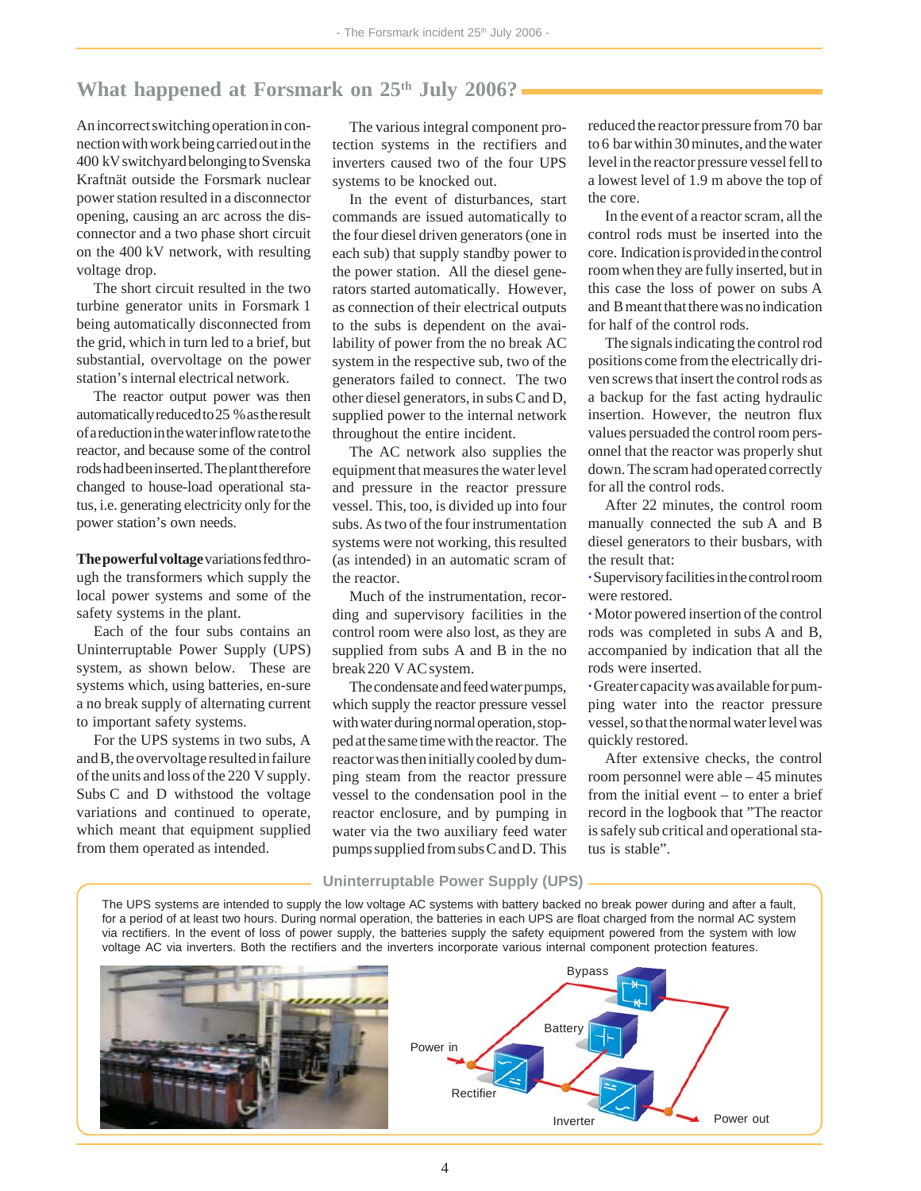# What happened at Forsmark on 25<sup>th</sup> July 2006?

An incorrect switching operation in connection with work being carried out in the 400 kV switchyard belonging to Svenska Kraftnät outside the Forsmark nuclear power station resulted in a disconnector opening, causing an arc across the disconnector and a two phase short circuit on the 400 kV network, with resulting voltage drop.

The short circuit resulted in the two turbine generator units in Forsmark 1 being automatically disconnected from the grid, which in turn led to a brief, but substantial, overvoltage on the power station's internal electrical network.

The reactor output power was then automatically reduced to 25 % as the result of a reduction in the water inflow rate to the reactor, and because some of the control rods had been inserted. The plant therefore changed to house-load operational status, i.e. generating electricity only for the power station's own needs.

**The powerful voltage** variations fed through the transformers which supply the local power systems and some of the safety systems in the plant.

Each of the four subs contains an Uninterruptable Power Supply (UPS) system, as shown below. These are systems which, using batteries, en-sure a no break supply of alternating current to important safety systems.

For the UPS systems in two subs, A and B, the overvoltage resulted in failure of the units and loss of the 220 V supply. Subs C and D withstood the voltage variations and continued to operate, which meant that equipment supplied from them operated as intended.

The various integral component protection systems in the rectifiers and inverters caused two of the four UPS systems to be knocked out.

In the event of disturbances, start commands are issued automatically to the four diesel driven generators (one in each sub) that supply standby power to the power station. All the diesel generators started automatically. However, as connection of their electrical outputs to the subs is dependent on the availability of power from the no break AC system in the respective sub, two of the generators failed to connect. The two other diesel generators, in subs C and D, supplied power to the internal network throughout the entire incident.

The AC network also supplies the equipment that measures the water level and pressure in the reactor pressure vessel. This, too, is divided up into four subs. As two of the four instrumentation systems were not working, this resulted (as intended) in an automatic scram of the reactor.

Much of the instrumentation, recording and supervisory facilities in the control room were also lost, as they are supplied from subs A and B in the no break 220 V AC system.

The condensate and feed water pumps, which supply the reactor pressure vessel with water during normal operation, stopped at the same time with the reactor. The reactor was then initially cooled by dumping steam from the reactor pressure vessel to the condensation pool in the reactor enclosure, and by pumping in water via the two auxiliary feed water pumps supplied from subs C and D. This reduced the reactor pressure from 70 bar to 6 bar within 30 minutes, and the water level in the reactor pressure vessel fell to a lowest level of 1.9 m above the top of the core.

In the event of a reactor scram, all the control rods must be inserted into the core. Indication is provided in the control room when they are fully inserted, but in this case the loss of power on subs A and B meant that there was no indication for half of the control rods.

The signals indicating the control rod positions come from the electrically driven screws that insert the control rods as a backup for the fast acting hydraulic insertion. However, the neutron flux values persuaded the control room personnel that the reactor was properly shut down. The scram had operated correctly for all the control rods.

After 22 minutes, the control room manually connected the sub A and B diesel generators to their busbars, with the result that:

**·** Supervisory facilities in the control room were restored.

**·** Motor powered insertion of the control rods was completed in subs A and B, accompanied by indication that all the rods were inserted.

**·** Greater capacity was available for pumping water into the reactor pressure vessel, so that the normal water level was quickly restored.

After extensive checks, the control room personnel were able – 45 minutes from the initial event – to enter a brief record in the logbook that "The reactor is safely sub critical and operational status is stable".

#### **Uninterruptable Power Supply (UPS)**

The UPS systems are intended to supply the low voltage AC systems with battery backed no break power during and after a fault, for a period of at least two hours. During normal operation, the batteries in each UPS are float charged from the normal AC system via rectifiers. In the event of loss of power supply, the batteries supply the safety equipment powered from the system with low voltage AC via inverters. Both the rectifiers and the inverters incorporate various internal component protection features.



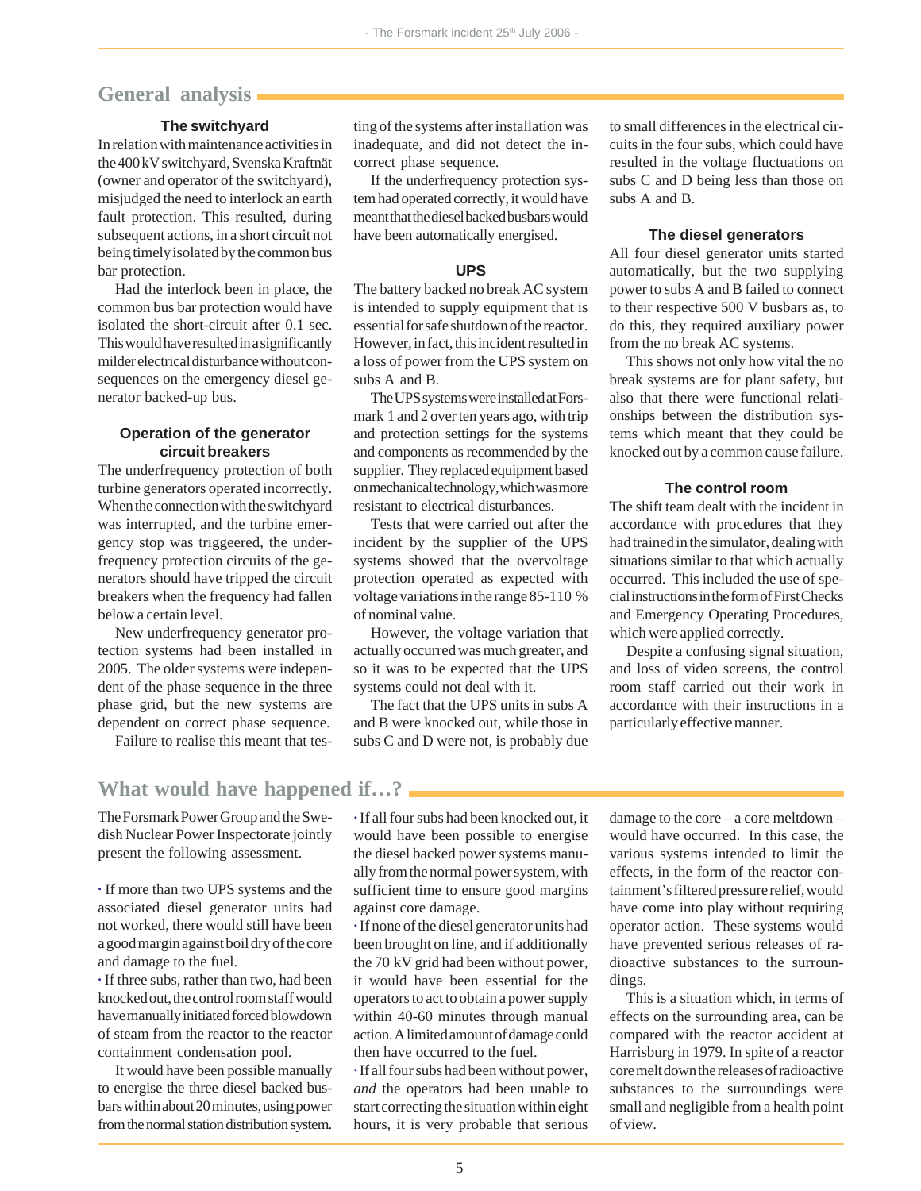### **General analysis**

### **The switchyard**

In relation with maintenance activities in the 400 kV switchyard, Svenska Kraftnät (owner and operator of the switchyard), misjudged the need to interlock an earth fault protection. This resulted, during subsequent actions, in a short circuit not being timely isolated by the common bus bar protection.

Had the interlock been in place, the common bus bar protection would have isolated the short-circuit after 0.1 sec. This would have resulted in a significantly milder electrical disturbance without consequences on the emergency diesel generator backed-up bus.

### **Operation of the generator circuit breakers**

The underfrequency protection of both turbine generators operated incorrectly. When the connection with the switchyard was interrupted, and the turbine emergency stop was triggeered, the underfrequency protection circuits of the generators should have tripped the circuit breakers when the frequency had fallen below a certain level.

New underfrequency generator protection systems had been installed in 2005. The older systems were independent of the phase sequence in the three phase grid, but the new systems are dependent on correct phase sequence.

Failure to realise this meant that tes-

ting of the systems after installation was inadequate, and did not detect the incorrect phase sequence.

If the underfrequency protection system had operated correctly, it would have meant that the diesel backed busbars would have been automatically energised.

### **UPS**

The battery backed no break AC system is intended to supply equipment that is essential for safe shutdown of the reactor. However, in fact, this incident resulted in a loss of power from the UPS system on subs A and B.

The UPS systems were installed at Forsmark 1 and 2 over ten years ago, with trip and protection settings for the systems and components as recommended by the supplier. They replaced equipment based on mechanical technology, which was more resistant to electrical disturbances.

Tests that were carried out after the incident by the supplier of the UPS systems showed that the overvoltage protection operated as expected with voltage variations in the range 85-110 % of nominal value.

However, the voltage variation that actually occurred was much greater, and so it was to be expected that the UPS systems could not deal with it.

The fact that the UPS units in subs A and B were knocked out, while those in subs C and D were not, is probably due

to small differences in the electrical circuits in the four subs, which could have resulted in the voltage fluctuations on subs C and D being less than those on subs A and B.

#### **The diesel generators**

All four diesel generator units started automatically, but the two supplying power to subs A and B failed to connect to their respective 500 V busbars as, to do this, they required auxiliary power from the no break AC systems.

This shows not only how vital the no break systems are for plant safety, but also that there were functional relationships between the distribution systems which meant that they could be knocked out by a common cause failure.

### **The control room**

The shift team dealt with the incident in accordance with procedures that they had trained in the simulator, dealing with situations similar to that which actually occurred. This included the use of special instructions in the form of First Checks and Emergency Operating Procedures, which were applied correctly.

Despite a confusing signal situation, and loss of video screens, the control room staff carried out their work in accordance with their instructions in a particularly effective manner.

## **What would have happened if…?**

The Forsmark Power Group and the Swedish Nuclear Power Inspectorate jointly present the following assessment.

**·** If more than two UPS systems and the associated diesel generator units had not worked, there would still have been a good margin against boil dry of the core and damage to the fuel.

**·** If three subs, rather than two, had been knocked out, the control room staff would have manually initiated forced blowdown of steam from the reactor to the reactor containment condensation pool.

It would have been possible manually to energise the three diesel backed busbars within about 20 minutes, using power from the normal station distribution system.

**·** If all four subs had been knocked out, it would have been possible to energise the diesel backed power systems manually from the normal power system, with sufficient time to ensure good margins against core damage.

**·** If none of the diesel generator units had been brought on line, and if additionally the 70 kV grid had been without power, it would have been essential for the operators to act to obtain a power supply within 40-60 minutes through manual action. A limited amount of damage could then have occurred to the fuel.

**·** If all four subs had been without power, *and* the operators had been unable to start correcting the situation within eight hours, it is very probable that serious

damage to the core – a core meltdown – would have occurred. In this case, the various systems intended to limit the effects, in the form of the reactor containment's filtered pressure relief, would have come into play without requiring operator action. These systems would have prevented serious releases of radioactive substances to the surroundings.

This is a situation which, in terms of effects on the surrounding area, can be compared with the reactor accident at Harrisburg in 1979. In spite of a reactor core melt down the releases of radioactive substances to the surroundings were small and negligible from a health point of view.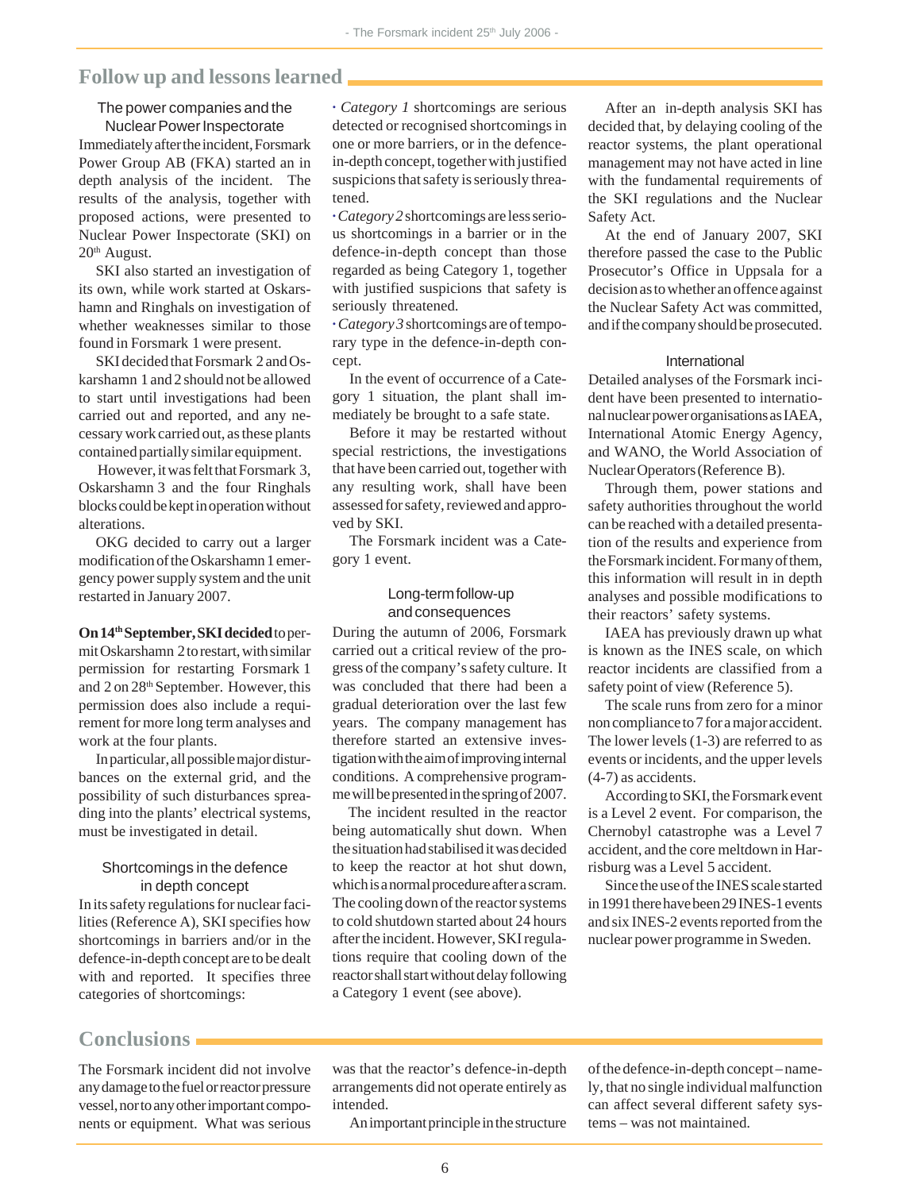### **Follow up and lessons learned**

### The power companies and the Nuclear Power Inspectorate

Immediately after the incident, Forsmark Power Group AB (FKA) started an in depth analysis of the incident. The results of the analysis, together with proposed actions, were presented to Nuclear Power Inspectorate (SKI) on  $20<sup>th</sup>$  August.

SKI also started an investigation of its own, while work started at Oskarshamn and Ringhals on investigation of whether weaknesses similar to those found in Forsmark 1 were present.

SKI decided that Forsmark 2 and Oskarshamn 1 and 2 should not be allowed to start until investigations had been carried out and reported, and any necessary work carried out, as these plants contained partially similar equipment.

 However, it was felt that Forsmark 3, Oskarshamn 3 and the four Ringhals blocks could be kept in operation without alterations.

OKG decided to carry out a larger modification of the Oskarshamn 1 emergency power supply system and the unit restarted in January 2007.

### **On 14th September, SKI decided** to per-

mit Oskarshamn 2 to restart, with similar permission for restarting Forsmark 1 and 2 on 28th September. However, this permission does also include a requirement for more long term analyses and work at the four plants.

In particular, all possible major disturbances on the external grid, and the possibility of such disturbances spreading into the plants' electrical systems, must be investigated in detail.

### Shortcomings in the defence in depth concept

In its safety regulations for nuclear facilities (Reference A), SKI specifies how shortcomings in barriers and/or in the defence-in-depth concept are to be dealt with and reported. It specifies three categories of shortcomings:

**·** *Category 1* shortcomings are serious detected or recognised shortcomings in one or more barriers, or in the defencein-depth concept, together with justified suspicions that safety is seriously threatened.

**·** *Category 2* shortcomings are less serious shortcomings in a barrier or in the defence-in-depth concept than those regarded as being Category 1, together with justified suspicions that safety is seriously threatened.

**·** *Category 3* shortcomings are of temporary type in the defence-in-depth concept.

In the event of occurrence of a Category 1 situation, the plant shall immediately be brought to a safe state.

Before it may be restarted without special restrictions, the investigations that have been carried out, together with any resulting work, shall have been assessed for safety, reviewed and approved by SKI.

The Forsmark incident was a Category 1 event.

### Long-term follow-up and consequences

During the autumn of 2006, Forsmark carried out a critical review of the progress of the company's safety culture. It was concluded that there had been a gradual deterioration over the last few years. The company management has therefore started an extensive investigation with the aim of improving internal conditions. A comprehensive programme will be presented in the spring of 2007.

 The incident resulted in the reactor being automatically shut down. When the situation had stabilised it was decided to keep the reactor at hot shut down, which is a normal procedure after a scram. The cooling down of the reactor systems to cold shutdown started about 24 hours after the incident. However, SKI regulations require that cooling down of the reactor shall start without delay following a Category 1 event (see above).

After an in-depth analysis SKI has decided that, by delaying cooling of the reactor systems, the plant operational management may not have acted in line with the fundamental requirements of the SKI regulations and the Nuclear Safety Act.

At the end of January 2007, SKI therefore passed the case to the Public Prosecutor's Office in Uppsala for a decision as to whether an offence against the Nuclear Safety Act was committed, and if the company should be prosecuted.

#### International

Detailed analyses of the Forsmark incident have been presented to international nuclear power organisations as IAEA, International Atomic Energy Agency, and WANO, the World Association of Nuclear Operators (Reference B).

Through them, power stations and safety authorities throughout the world can be reached with a detailed presentation of the results and experience from the Forsmark incident. For many of them, this information will result in in depth analyses and possible modifications to their reactors' safety systems.

IAEA has previously drawn up what is known as the INES scale, on which reactor incidents are classified from a safety point of view (Reference 5).

The scale runs from zero for a minor non compliance to 7 for a major accident. The lower levels (1-3) are referred to as events or incidents, and the upper levels (4-7) as accidents.

According to SKI, the Forsmark event is a Level 2 event. For comparison, the Chernobyl catastrophe was a Level 7 accident, and the core meltdown in Harrisburg was a Level 5 accident.

Since the use of the INES scale started in 1991 there have been 29 INES-1 events and six INES-2 events reported from the nuclear power programme in Sweden.

### **Conclusions**

The Forsmark incident did not involve any damage to the fuel or reactor pressure vessel, nor to any other important components or equipment. What was serious was that the reactor's defence-in-depth arrangements did not operate entirely as intended.

An important principle in the structure

of the defence-in-depth concept – namely, that no single individual malfunction can affect several different safety systems – was not maintained.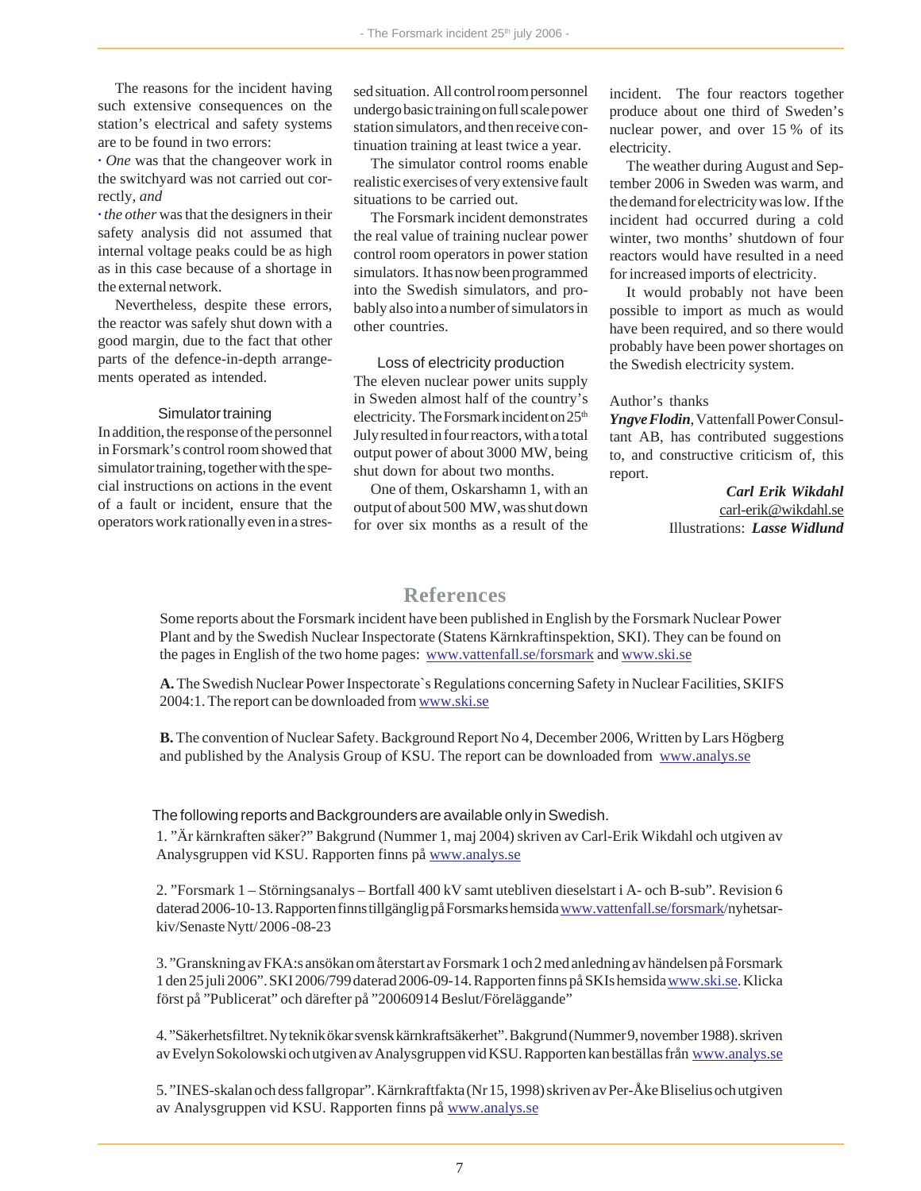The reasons for the incident having such extensive consequences on the station's electrical and safety systems are to be found in two errors:

**·** *One* was that the changeover work in the switchyard was not carried out correctly, *and*

**·** *the other* was that the designers in their safety analysis did not assumed that internal voltage peaks could be as high as in this case because of a shortage in the external network.

Nevertheless, despite these errors, the reactor was safely shut down with a good margin, due to the fact that other parts of the defence-in-depth arrangements operated as intended.

#### Simulator training

In addition, the response of the personnel in Forsmark's control room showed that simulator training, together with the special instructions on actions in the event of a fault or incident, ensure that the operators work rationally even in a stressed situation. All control room personnel undergo basic training on full scale power station simulators, and then receive continuation training at least twice a year.

The simulator control rooms enable realistic exercises of very extensive fault situations to be carried out.

The Forsmark incident demonstrates the real value of training nuclear power control room operators in power station simulators. It has now been programmed into the Swedish simulators, and probably also into a number of simulators in other countries.

Loss of electricity production The eleven nuclear power units supply in Sweden almost half of the country's electricity. The Forsmark incident on 25<sup>th</sup> July resulted in four reactors, with a total output power of about 3000 MW, being shut down for about two months.

One of them, Oskarshamn 1, with an output of about 500 MW, was shut down for over six months as a result of the

incident. The four reactors together produce about one third of Sweden's nuclear power, and over 15 % of its electricity.

The weather during August and September 2006 in Sweden was warm, and the demand for electricity was low. If the incident had occurred during a cold winter, two months' shutdown of four reactors would have resulted in a need for increased imports of electricity.

It would probably not have been possible to import as much as would have been required, and so there would probably have been power shortages on the Swedish electricity system.

### Author's thanks

*Yngve Flodin*, Vattenfall Power Consultant AB, has contributed suggestions to, and constructive criticism of, this report.

> *Carl Erik Wikdahl* carl-erik@wikdahl.se Illustrations: *Lasse Widlund*

### **References**

Some reports about the Forsmark incident have been published in English by the Forsmark Nuclear Power Plant and by the Swedish Nuclear Inspectorate (Statens Kärnkraftinspektion, SKI). They can be found on the pages in English of the two home pages: www.vattenfall.se/forsmark and www.ski.se

**A.** The Swedish Nuclear Power Inspectorate`s Regulations concerning Safety in Nuclear Facilities, SKIFS 2004:1. The report can be downloaded from www.ski.se

**B.** The convention of Nuclear Safety. Background Report No 4, December 2006, Written by Lars Högberg and published by the Analysis Group of KSU. The report can be downloaded from www.analys.se

#### The following reports and Backgrounders are available only in Swedish.

1. "Är kärnkraften säker?" Bakgrund (Nummer 1, maj 2004) skriven av Carl-Erik Wikdahl och utgiven av Analysgruppen vid KSU. Rapporten finns på www.analys.se

2. "Forsmark 1 – Störningsanalys – Bortfall 400 kV samt utebliven dieselstart i A- och B-sub". Revision 6 daterad 2006-10-13. Rapporten finns tillgänglig på Forsmarks hemsida www.vattenfall.se/forsmark/nyhetsarkiv/Senaste Nytt/ 2006 -08-23

3. "Granskning av FKA:s ansökan om återstart av Forsmark 1 och 2 med anledning av händelsen på Forsmark 1 den 25 juli 2006". SKI 2006/799 daterad 2006-09-14. Rapporten finns på SKIs hemsida www.ski.se. Klicka först på "Publicerat" och därefter på "20060914 Beslut/Föreläggande"

4. "Säkerhetsfiltret. Ny teknik ökar svensk kärnkraftsäkerhet". Bakgrund (Nummer 9, november 1988). skriven av Evelyn Sokolowski och utgiven av Analysgruppen vid KSU. Rapporten kan beställas från www.analys.se

5. "INES-skalan och dess fallgropar". Kärnkraftfakta (Nr 15, 1998) skriven av Per-Åke Bliselius och utgiven av Analysgruppen vid KSU. Rapporten finns på www.analys.se